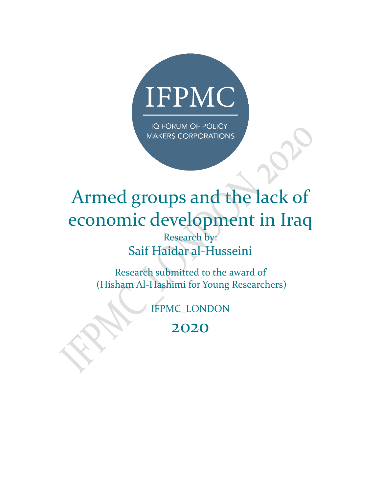

IQ FORUM OF POLICY **MAKERS CORPORATIONS** 

# Armed groups and the lack of economic development in Iraq Research by: Saif Haidar al-Husseini

Research submitted to the award of (Hisham Al-Hashimi for Young Researchers)

IFPMC\_LONDON

2020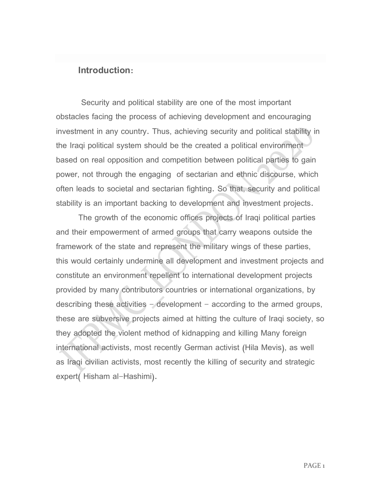#### **Introduction:**

Security and political stability are one of the most important obstacles facing the process of achieving development and encouraging investment in any country. Thus, achieving security and political stability in the Iraqi political system should be the created a political environment based on real opposition and competition between political parties to gain power, not through the engaging of sectarian and ethnic discourse, which often leads to societal and sectarian fighting. So that, security and political stability is an important backing to development and investment projects.

The growth of the economic offices projects of Iraqi political parties and their empowerment of armed groups that carry weapons outside the framework of the state and represent the military wings of these parties, this would certainly undermine all development and investment projects and constitute an environment repellent to international development projects provided by many contributors countries or international organizations, by describing these activities  $-\alpha$  development  $-\alpha$  according to the armed groups, these are subversive projects aimed at hitting the culture of Iraqi society, so they adopted the violent method of kidnapping and killing Many foreign international activists, most recently German activist (Hila Mevis), as well as Iraqi civilian activists, most recently the killing of security and strategic expert( Hisham al-Hashimi).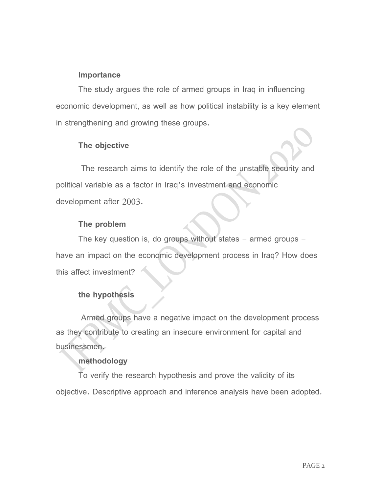#### **Importance**

The study argues the role of armed groups in Iraq in influencing economic development, as well as how political instability is a key element in strengthening and growing these groups.

#### **The objective**

The research aims to identify the role of the unstable security and political variable as a factor in Iraq's investment and economic development after 2003.

#### **The problem**

The key question is, do groups without states  $-$  armed groups  $$ have an impact on the economic development process in Iraq? How does this affect investment?

### **the hypothesis**

Armed groups have a negative impact on the development process as they contribute to creating an insecure environment for capital and businessmen.

#### **methodology**

To verify the research hypothesis and prove the validity of its objective. Descriptive approach and inference analysis have been adopted.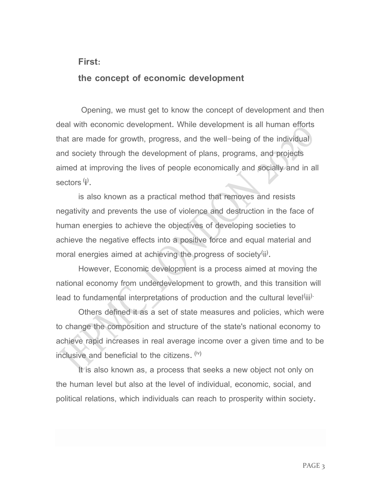#### **First:**

#### **the concept of economic development**

Opening, we must get to know the concept of development and then deal with economic development. While development is all human efforts that are made for growth, progress, and the well-being of the individual and society through the development of plans, programs, and projects aimed at improving the lives of people economically and socially and in all sectors <sup>(</sup>**i**<sup>)</sup>.

is also known as a practical method that removes and resists negativity and prevents the use of violence and destruction in the face of human energies to achieve the objectives of developing societies to achieve the negative effects into a positive force and equal material and moral energies aimed at achieving the progress of society<sup>(ji)</sup>.

However, Economic development is a process aimed at moving the national economy from underdevelopment to growth, and this transition will lead to fundamental interpretations of production and the cultural level $^{\left( iii\right) \cdot }$ 

Others defined it as a set of state measures and policies, which were to change the composition and structure of the state's national economy to achieve rapid increases in real average income over a given time and to be inclusive and beneficial to the citizens.  $\overset{(iv)}{}$ 

It is also known as, a process that seeks a new object not only on the human level but also at the level of individual, economic, social, and political relations, which individuals can reach to prosperity within society.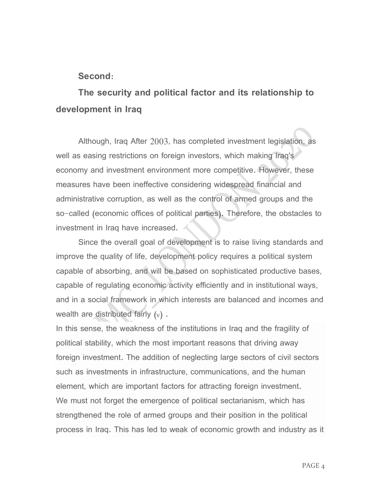#### **Second:**

# **The security and political factor and its relationship to development in Iraq**

Although, Iraq After 2003, has completed investment legislation, as well as easing restrictions on foreign investors, which making Iraq's economy and investment environment more competitive. However, these measures have been ineffective considering widespread financial and administrative corruption, as well as the control of armed groups and the so-called (economic offices of political parties). Therefore, the obstacles to investment in Iraq have increased.

Since the overall goal of development is to raise living standards and improve the quality of life, development policy requires a political system capable of absorbing, and will be based on sophisticated productive bases, capable of regulating economic activity efficiently and in institutional ways, and in a social framework in which interests are balanced and incomes and wealth are distributed fairly  $(v)$ .

In this sense, the weakness of the institutions in Iraq and the fragility of political stability, which the most important reasons that driving away foreign investment. The addition of neglecting large sectors of civil sectors such as investments in infrastructure, communications, and the human element, which are important factors for attracting foreign investment. We must not forget the emergence of political sectarianism, which has strengthened the role of armed groups and their position in the political process in Iraq. This has led to weak of economic growth and industry as it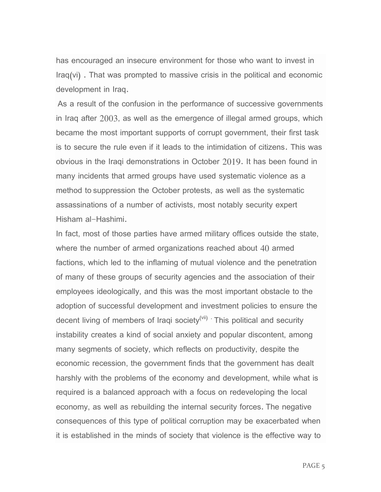has encouraged an insecure environment for those who want to invest in  $Iraq(vi)$ . That was prompted to massive crisis in the political and economic development in Iraq.

As a result of the confusion in the performance of successive governments in Iraq after 2003, as well as the emergence of illegal armed groups, which became the most important supports of corrupt government, their first task is to secure the rule even if it leads to the intimidation of citizens. This was obvious in the Iraqi demonstrations in October 2019. It has been found in many incidents that armed groups have used systematic violence as a method to suppression the October protests, as well as the systematic assassinations of a number of activists, most notably security expert Hisham al-Hashimi.

In fact, most of those parties have armed military offices outside the state, where the number of armed organizations reached about 40 armed factions, which led to the inflaming of mutual violence and the penetration of many of these groups of security agencies and the association of their employees ideologically, and this was the most important obstacle to the adoption of successful development and investment policies to ensure the decent living of members of Iraqi society<sup>(vii)</sup> This political and security instability creates a kind of social anxiety and popular discontent, among many segments of society, which reflects on productivity, despite the economic recession, the government finds that the government has dealt harshly with the problems of the economy and development, while what is required is a balanced approach with a focus on redeveloping the local economy, as well as rebuilding the internal security forces. The negative consequences of this type of political corruption may be exacerbated when it is established in the minds of society that violence is the effective way to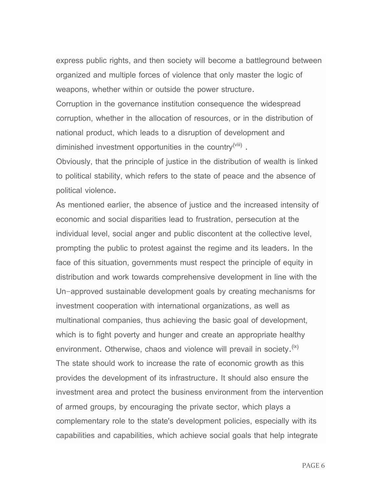express public rights, and then society will become a battleground between organized and multiple forces of violence that only master the logic of weapons, whether within or outside the power structure.

Corruption in the governance institution consequence the widespread corruption, whether in the allocation of resources, or in the distribution of national product, which leads to a disruption of development and diminished investment opportunities in the country ${}^{\textrm{\tiny{(Viii)}}}$  .

Obviously, that the principle of justice in the distribution of wealth is linked to political stability, which refers to the state of peace and the absence of political violence.

As mentioned earlier, the absence of justice and the increased intensity of economic and social disparities lead to frustration, persecution at the individual level, social anger and public discontent at the collective level, prompting the public to protest against the regime and its leaders. In the face of this situation, governments must respect the principle of equity in distribution and work towards comprehensive development in line with the Un-approved sustainable development goals by creating mechanisms for investment cooperation with international organizations, as well as multinational companies, thus achieving the basic goal of development, which is to fight poverty and hunger and create an appropriate healthy environment. Otherwise, chaos and violence will prevail in society.<sup>(ix)</sup> The state should work to increase the rate of economic growth as this provides the development of its infrastructure. It should also ensure the investment area and protect the business environment from the intervention of armed groups, by encouraging the private sector, which plays a complementary role to the state's development policies, especially with its capabilities and capabilities, which achieve social goals that help integrate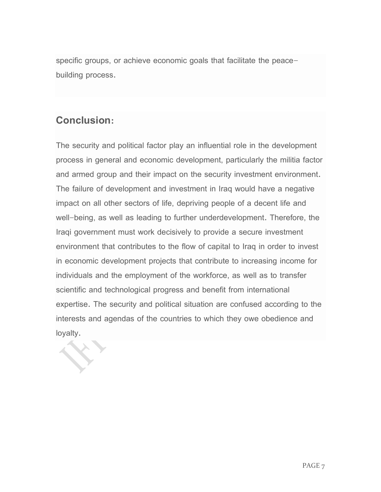specific groups, or achieve economic goals that facilitate the peacebuilding process.

## **Conclusion:**

The security and political factor play an influential role in the development process in general and economic development, particularly the militia factor and armed group and their impact on the security investment environment. The failure of development and investment in Iraq would have a negative impact on all other sectors of life, depriving people of a decent life and well-being, as well as leading to further underdevelopment. Therefore, the Iraqi government must work decisively to provide a secure investment environment that contributes to the flow of capital to Iraq in order to invest in economic development projects that contribute to increasing income for individuals and the employment of the workforce, as well as to transfer scientific and technological progress and benefit from international expertise. The security and political situation are confused according to the interests and agendas of the countries to which they owe obedience and loyalty.